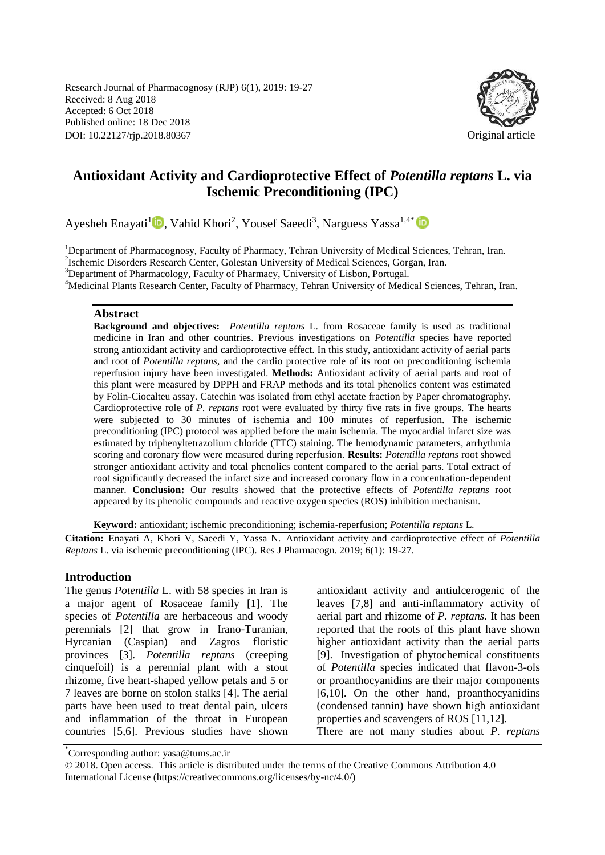Research Journal of Pharmacognosy (RJP) 6(1), 2019: 19-27 Received: 8 Aug 2018 Accepted: 6 Oct 2018 Published online: 18 Dec 2018 DOI: 10.22127/rjp.2018.80367 Original article



# **Antioxidant Activity and Cardioprotective Effect of** *Potentilla reptans* **L. via Ischemic Preconditioning (IPC)**

Ayesheh Enayati<sup>1</sup>D[,](https://orcid.org/0000-0003-2457-9371) Vahid Khori<sup>2</sup>, Yousef Saeedi<sup>3</sup>, Narguess Yassa<sup>1,4\*</sup>

<sup>1</sup>Department of Pharmacognosy, Faculty of Pharmacy, Tehran University of Medical Sciences, Tehran, Iran. 2 Ischemic Disorders Research Center, Golestan University of Medical Sciences, Gorgan, Iran. <sup>3</sup>Department of Pharmacology, Faculty of Pharmacy, University of Lisbon, Portugal. <sup>4</sup>Medicinal Plants Research Center, Faculty of Pharmacy, Tehran University of Medical Sciences, Tehran, Iran.

#### **Abstract**

**Background and objectives:** *Potentilla reptans* L. from Rosaceae family is used as traditional medicine in Iran and other countries. Previous investigations on *Potentilla* species have reported strong antioxidant activity and cardioprotective effect. In this study, antioxidant activity of aerial parts and root of *Potentilla reptans,* and the cardio protective role of its root on preconditioning ischemia reperfusion injury have been investigated. **Methods:** Antioxidant activity of aerial parts and root of this plant were measured by DPPH and FRAP methods and its total phenolics content was estimated by Folin-Ciocalteu assay. Catechin was isolated from ethyl acetate fraction by Paper chromatography. Cardioprotective role of *P. reptans* root were evaluated by thirty five rats in five groups. The hearts were subjected to 30 minutes of ischemia and 100 minutes of reperfusion. The ischemic preconditioning (IPC) protocol was applied before the main ischemia. The myocardial infarct size was estimated by triphenyltetrazolium chloride (TTC) staining. The hemodynamic parameters, arrhythmia scoring and coronary flow were measured during reperfusion. **Results:** *Potentilla reptans* root showed stronger antioxidant activity and total phenolics content compared to the aerial parts. Total extract of root significantly decreased the infarct size and increased coronary flow in a concentration-dependent manner. **Conclusion:** Our results showed that the protective effects of *Potentilla reptans* root appeared by its phenolic compounds and reactive oxygen species (ROS) inhibition mechanism.

**Keyword:** antioxidant; ischemic preconditioning; ischemia-reperfusion; *Potentilla reptans* L*.* 

**Citation:** Enayati A, Khori V, Saeedi Y, Yassa N. Antioxidant activity and cardioprotective effect of *Potentilla Reptans* L. via ischemic preconditioning (IPC). Res J Pharmacogn. 2019; 6(1): 19-27.

#### **Introduction**

The genus *Potentilla* L. with 58 species in Iran is a major agent of Rosaceae family [1]. The species of *Potentilla* are herbaceous and woody perennials [2] that grow in Irano-Turanian, Hyrcanian (Caspian) and Zagros floristic provinces [3]. *Potentilla reptans* (creeping cinquefoil) is a perennial plant with a stout rhizome, five heart-shaped yellow petals and 5 or 7 leaves are borne on stolon stalks [4]. The aerial parts have been used to treat dental pain, ulcers and inflammation of the throat in European countries [5,6]. Previous studies have shown antioxidant activity and antiulcerogenic of the leaves [7,8] and anti-inflammatory activity of aerial part and rhizome of *P. reptans*. It has been reported that the roots of this plant have shown higher antioxidant activity than the aerial parts [9]. Investigation of phytochemical constituents of *Potentilla* species indicated that flavon-3-ols or proanthocyanidins are their major components [6,10]. On the other hand, proanthocyanidins (condensed tannin) have shown high antioxidant properties and scavengers of ROS [11,12]. There are not many studies about *P. reptans*

<sup>\*</sup> Corresponding author: yasa@tums.ac.ir

<sup>© 2018.</sup> Open access. This article is distributed under the terms of the Creative Commons Attribution 4.0 International License (https://creativecommons.org/licenses/by-nc/4.0/)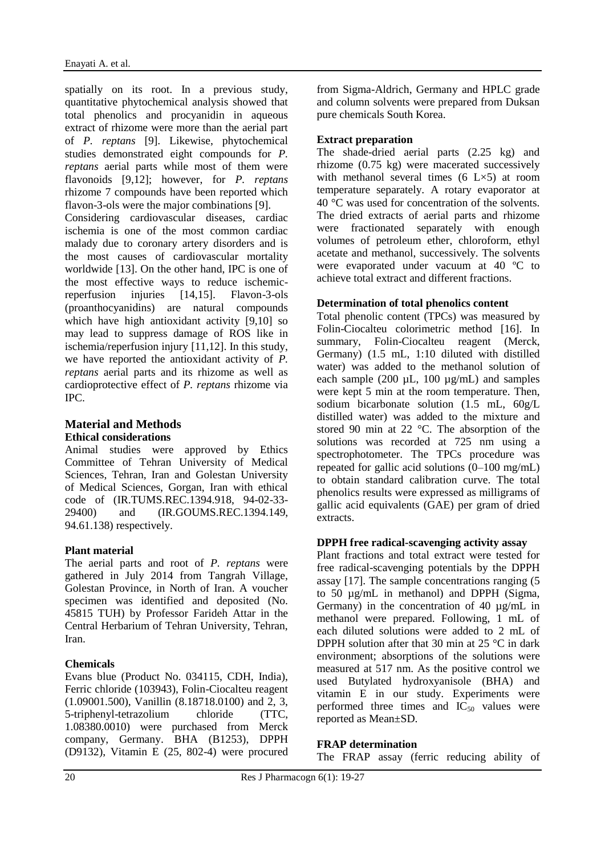spatially on its root. In a previous study, quantitative phytochemical analysis showed that total phenolics and procyanidin in aqueous extract of rhizome were more than the aerial part of *P. reptans* [9]. Likewise, phytochemical studies demonstrated eight compounds for *P. reptans* aerial parts while most of them were flavonoids [9,12]; however, for *P. reptans* rhizome 7 compounds have been reported which flavon-3-ols were the major combinations [9].

Considering cardiovascular diseases, cardiac ischemia is one of the most common cardiac malady due to coronary artery disorders and is the most causes of cardiovascular mortality worldwide [13]. On the other hand, IPC is one of the most effective ways to reduce ischemicreperfusion injuries [14,15]. Flavon-3-ols (proanthocyanidins) are natural compounds which have high antioxidant activity [9,10] so may lead to suppress damage of ROS like in ischemia/reperfusion injury [11,12]. In this study, we have reported the antioxidant activity of *P. reptans* aerial parts and its rhizome as well as cardioprotective effect of *P. reptans* rhizome via IPC.

### **Material and Methods Ethical considerations**

Animal studies were approved by Ethics Committee of Tehran University of Medical Sciences, Tehran, Iran and Golestan University of Medical Sciences, Gorgan, Iran with ethical code of (IR.TUMS.REC.1394.918, 94-02-33- 29400) and (IR.GOUMS.REC.1394.149, 94.61.138) respectively.

# **Plant material**

The aerial parts and root of *P. reptans* were gathered in July 2014 from Tangrah Village, Golestan Province, in North of Iran. A voucher specimen was identified and deposited (No. 45815 TUH) by Professor Farideh Attar in the Central Herbarium of Tehran University, Tehran, Iran.

### **Chemicals**

Evans blue (Product No. 034115, CDH, India), Ferric chloride (103943), Folin-Ciocalteu reagent (1.09001.500), Vanillin (8.18718.0100) and 2, 3, 5-triphenyl-tetrazolium chloride (TTC, 1.08380.0010) were purchased from Merck company, Germany. BHA (B1253), DPPH (D9132), Vitamin E (25, 802-4) were procured from Sigma-Aldrich, Germany and HPLC grade and column solvents were prepared from Duksan pure chemicals South Korea.

### **Extract preparation**

The shade-dried aerial parts (2.25 kg) and rhizome (0.75 kg) were macerated successively with methanol several times (6 L×5) at room temperature separately. A rotary evaporator at 40 °C was used for concentration of the solvents. The dried extracts of aerial parts and rhizome were fractionated separately with enough volumes of petroleum ether, chloroform, ethyl acetate and methanol, successively. The solvents were evaporated under vacuum at 40 ºC to achieve total extract and different fractions.

### **Determination of total phenolics content**

Total phenolic content (TPCs) was measured by Folin-Ciocalteu colorimetric method [16]. In summary, Folin-Ciocalteu reagent (Merck, Germany) (1.5 mL, 1:10 diluted with distilled water) was added to the methanol solution of each sample (200  $\mu$ L, 100  $\mu$ g/mL) and samples were kept 5 min at the room temperature. Then, sodium bicarbonate solution (1.5 mL, 60g/L distilled water) was added to the mixture and stored 90 min at 22 °C. The absorption of the solutions was recorded at 725 nm using a spectrophotometer. The TPCs procedure was repeated for gallic acid solutions (0–100 mg/mL) to obtain standard calibration curve. The total phenolics results were expressed as milligrams of gallic acid equivalents (GAE) per gram of dried extracts.

### **DPPH free radical-scavenging activity assay**

Plant fractions and total extract were tested for free radical-scavenging potentials by the DPPH assay [17]. The sample concentrations ranging (5 to 50 µg/mL in methanol) and DPPH (Sigma, Germany) in the concentration of 40 µg/mL in methanol were prepared. Following, 1 mL of each diluted solutions were added to 2 mL of DPPH solution after that 30 min at 25 °C in dark environment; absorptions of the solutions were measured at 517 nm. As the positive control we used Butylated hydroxyanisole (BHA) and vitamin E in our study. Experiments were performed three times and  $IC_{50}$  values were reported as Mean±SD.

# **FRAP determination**

The FRAP assay (ferric reducing ability of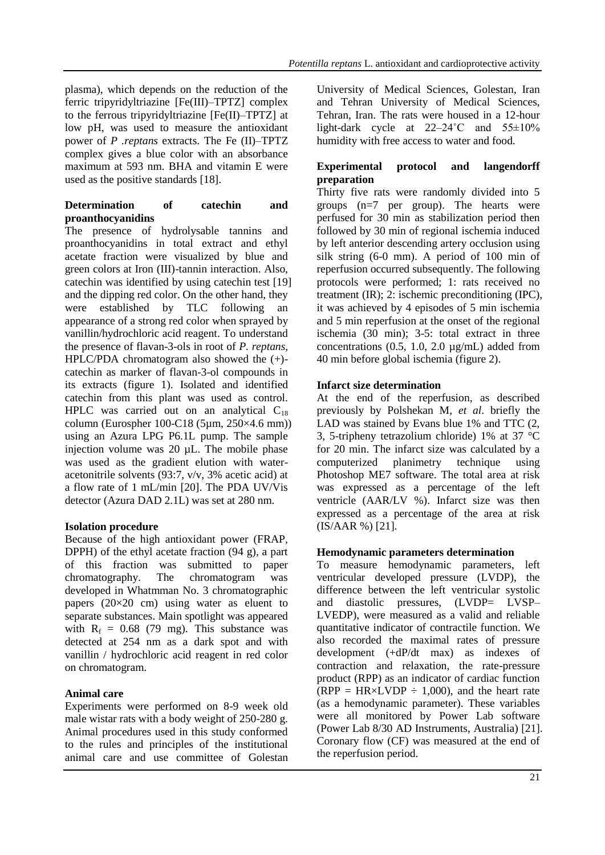plasma), which depends on the reduction of the ferric tripyridyltriazine [Fe(III)–TPTZ] complex to the ferrous tripyridyltriazine [Fe(II)–TPTZ] at low pH, was used to measure the antioxidant power of *P .reptans* extracts. The Fe (II)–TPTZ complex gives a blue color with an absorbance maximum at 593 nm. BHA and vitamin E were used as the positive standards [18].

### **Determination of catechin and proanthocyanidins**

The presence of hydrolysable tannins and proanthocyanidins in total extract and ethyl acetate fraction were visualized by blue and green colors at Iron (III)-tannin interaction. Also, catechin was identified by using catechin test [19] and the dipping red color. On the other hand, they were established by TLC following an appearance of a strong red color when sprayed by vanillin/hydrochloric acid reagent. To understand the presence of flavan-3-ols in root of *P. reptans*, HPLC/PDA chromatogram also showed the (+) catechin as marker of flavan-3-ol compounds in its extracts (figure 1). Isolated and identified catechin from this plant was used as control. HPLC was carried out on an analytical  $C_{18}$ column (Eurospher 100-C18 (5µm, 250×4.6 mm)) using an Azura LPG P6.1L pump. The sample injection volume was 20 µL. The mobile phase was used as the gradient elution with wateracetonitrile solvents (93:7, v/v, 3% acetic acid) at a flow rate of 1 mL/min [20]. The PDA UV/Vis detector (Azura DAD 2.1L) was set at 280 nm.

### **Isolation procedure**

Because of the high antioxidant power (FRAP, DPPH) of the ethyl acetate fraction (94 g), a part of this fraction was submitted to paper chromatography. The chromatogram was developed in Whatmman No. 3 chromatographic papers  $(20\times20$  cm) using water as eluent to separate substances. Main spotlight was appeared with  $R_f = 0.68$  (79 mg). This substance was detected at 254 nm as a dark spot and with vanillin / hydrochloric acid reagent in red color on chromatogram.

### **Animal care**

Experiments were performed on 8-9 week old male wistar rats with a body weight of 250-280 g. Animal procedures used in this study conformed to the rules and principles of the institutional animal care and use committee of Golestan University of Medical Sciences, Golestan, Iran and Tehran University of Medical Sciences, Tehran, Iran. The rats were housed in a 12-hour light-dark cycle at  $22-24$ °C and  $55\pm10\%$ humidity with free access to water and food.

### **Experimental protocol and langendorff preparation**

Thirty five rats were randomly divided into 5 groups (n=7 per group). The hearts were perfused for 30 min as stabilization period then followed by 30 min of regional ischemia induced by left anterior descending artery occlusion using silk string (6-0 mm). A period of 100 min of reperfusion occurred subsequently. The following protocols were performed; 1: rats received no treatment (IR); 2: ischemic preconditioning (IPC), it was achieved by 4 episodes of 5 min ischemia and 5 min reperfusion at the onset of the regional ischemia (30 min); 3-5: total extract in three concentrations  $(0.5, 1.0, 2.0 \mu g/mL)$  added from 40 min before global ischemia (figure 2).

### **Infarct size determination**

At the end of the reperfusion, as described previously by Polshekan M*, et al*. briefly the LAD was stained by Evans blue 1% and TTC (2, 3, 5-tripheny tetrazolium chloride) 1% at 37 °C for 20 min. The infarct size was calculated by a computerized planimetry technique using Photoshop ME7 software. The total area at risk was expressed as a percentage of the left ventricle (AAR/LV %). Infarct size was then expressed as a percentage of the area at risk (IS/AAR %) [21].

### **Hemodynamic parameters determination**

To measure hemodynamic parameters, left ventricular developed pressure (LVDP), the difference between the left ventricular systolic and diastolic pressures, (LVDP= LVSP– LVEDP), were measured as a valid and reliable quantitative indicator of contractile function. We also recorded the maximal rates of pressure development (+dP/dt max) as indexes of contraction and relaxation, the rate-pressure product (RPP) as an indicator of cardiac function (RPP = HR $\times$ LVDP  $\div$  1,000), and the heart rate (as a hemodynamic parameter). These variables were all monitored by Power Lab software (Power Lab 8/30 AD Instruments, Australia) [21]. Coronary flow (CF) was measured at the end of the reperfusion period.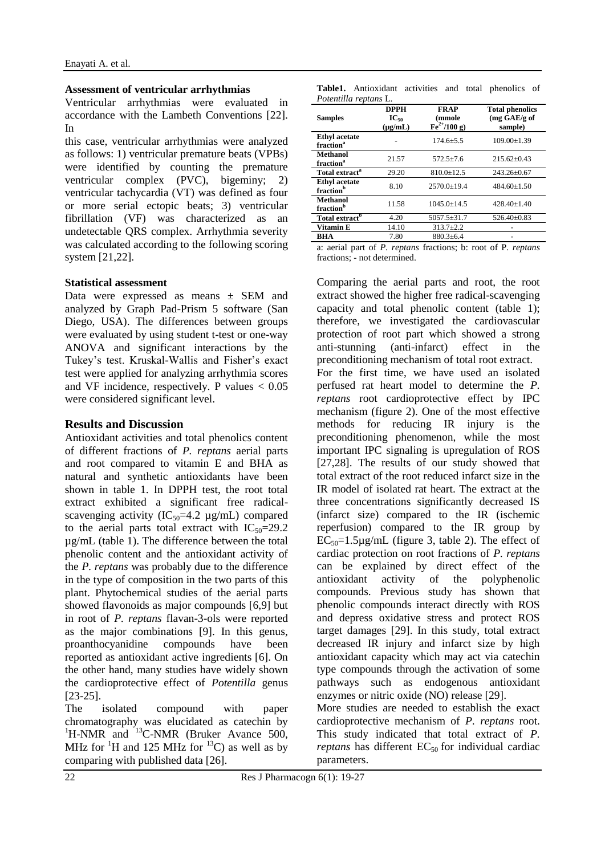#### **Assessment of ventricular arrhythmias**

Ventricular arrhythmias were evaluated in accordance with the Lambeth Conventions [22]. In

this case, ventricular arrhythmias were analyzed as follows: 1) ventricular premature beats (VPBs) were identified by counting the premature ventricular complex (PVC), bigeminy; 2) ventricular tachycardia (VT) was defined as four or more serial ectopic beats; 3) ventricular fibrillation (VF) was characterized as an undetectable QRS complex. Arrhythmia severity was calculated according to the following scoring system [21,22].

#### **Statistical assessment**

Data were expressed as means  $\pm$  SEM and analyzed by Graph Pad-Prism 5 software (San Diego, USA). The differences between groups were evaluated by using student t-test or one-way ANOVA and significant interactions by the Tukey's test. Kruskal-Wallis and Fisher's exact test were applied for analyzing arrhythmia scores and VF incidence, respectively. P values  $< 0.05$ were considered significant level.

#### **Results and Discussion**

Antioxidant activities and total phenolics content of different fractions of *P. reptans* aerial parts and root compared to vitamin E and BHA as natural and synthetic antioxidants have been shown in table 1. In DPPH test, the root total extract exhibited a significant free radicalscavenging activity ( $IC_{50}$ =4.2 µg/mL) compared to the aerial parts total extract with  $IC_{50}=29.2$ µg/mL (table 1). The difference between the total phenolic content and the antioxidant activity of the *P. reptans* was probably due to the difference in the type of composition in the two parts of this plant. Phytochemical studies of the aerial parts showed flavonoids as major compounds [6,9] but in root of *P. reptans* flavan-3-ols were reported as the major combinations [9]. In this genus, proanthocyanidine compounds have been reported as antioxidant active ingredients [6]. On the other hand, many studies have widely shown the cardioprotective effect of *Potentilla* genus [23-25].

The isolated compound with paper chromatography was elucidated as catechin by  ${}^{1}$ H-NMR and  ${}^{13}$ C-NMR (Bruker Avance 500, MHz for  ${}^{1}H$  and 125 MHz for  ${}^{13}C$ ) as well as by comparing with published data [26].

| Table1. Antioxidant activities and total phenolics of |  |  |  |
|-------------------------------------------------------|--|--|--|
| Potentilla reptans L.                                 |  |  |  |

| <b>Samples</b>                                | <b>DPPH</b><br>$IC_{50}$<br>$(\mu g/mL)$ | <b>FRAP</b><br>(mmole<br>$\rm{Fe}^{2+}/100 g)$ | <b>Total phenolics</b><br>$(mg \text{ GAE/g of})$<br>sample) |
|-----------------------------------------------|------------------------------------------|------------------------------------------------|--------------------------------------------------------------|
| <b>Ethyl</b> acetate<br>fraction <sup>a</sup> |                                          | $174.6 + 5.5$                                  | $109.00 \pm 1.39$                                            |
| <b>Methanol</b><br>fraction <sup>a</sup>      | 21.57                                    | $572.5 + 7.6$                                  | $215.62+0.43$                                                |
| Total extract <sup>a</sup>                    | 29.20                                    | $810.0 \pm 12.5$                               | 243.26±0.67                                                  |
| <b>Ethyl</b> acetate<br>fraction <sup>b</sup> | 8.10                                     | $2570.0+19.4$                                  | $484.60+1.50$                                                |
| Methanol<br>fraction <sup>b</sup>             | 11.58                                    | $1045.0 + 14.5$                                | $428.40+1.40$                                                |
| Total extract <sup>b</sup>                    | 4.20                                     | $5057.5 \pm 31.7$                              | $526.40 \pm 0.83$                                            |
| Vitamin E                                     | 14.10                                    | $313.7 \pm 2.2$                                |                                                              |
| BHA                                           | 7.80                                     | $880.3 + 6.4$                                  |                                                              |

a: aerial part of *P. reptans* fractions; b: root of P*. reptans* fractions; - not determined.

Comparing the aerial parts and root, the root extract showed the higher free radical-scavenging capacity and total phenolic content (table 1); therefore, we investigated the cardiovascular protection of root part which showed a strong anti-stunning (anti-infarct) effect in the preconditioning mechanism of total root extract. For the first time, we have used an isolated perfused rat heart model to determine the *P. reptans* root cardioprotective effect by IPC mechanism (figure 2). One of the most effective methods for reducing IR injury is the preconditioning phenomenon, while the most important IPC signaling is upregulation of ROS [27,28]. The results of our study showed that total extract of the root reduced infarct size in the IR model of isolated rat heart. The extract at the three concentrations significantly decreased IS (infarct size) compared to the IR (ischemic reperfusion) compared to the IR group by  $EC_{50}=1.5\mu g/mL$  (figure 3, table 2). The effect of cardiac protection on root fractions of *P. reptans* can be explained by direct effect of the antioxidant activity of the polyphenolic compounds. Previous study has shown that phenolic compounds interact directly with ROS and depress oxidative stress and protect ROS target damages [29]. In this study, total extract decreased IR injury and infarct size by high antioxidant capacity which may act via catechin type compounds through the activation of some pathways such as endogenous antioxidant enzymes or nitric oxide (NO) release [29].

More studies are needed to establish the exact cardioprotective mechanism of *P. reptans* root. This study indicated that total extract of *P. reptans* has different  $EC_{50}$  for individual cardiac parameters.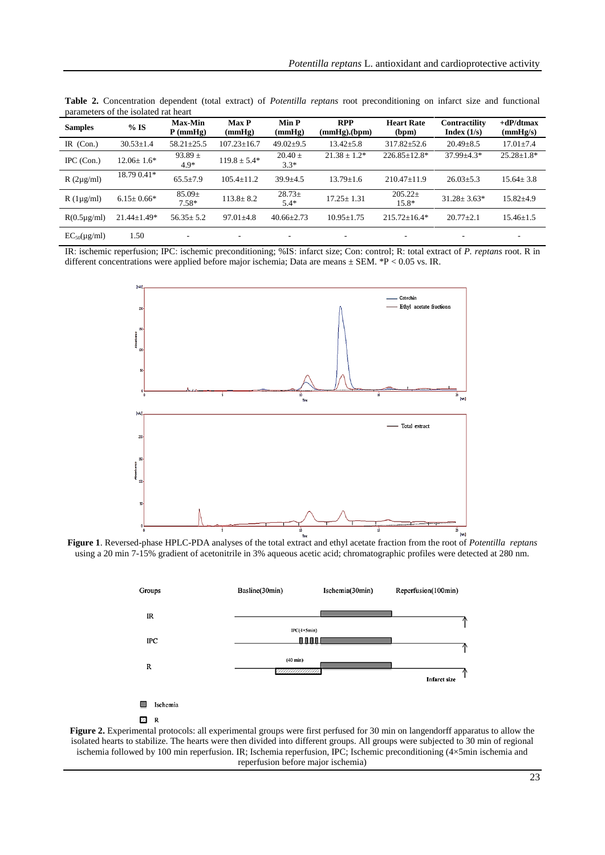| <b>Samples</b>      | $%$ IS            | Max-Min<br>$P$ (mmHg) | <b>Max P</b><br>(mmHg) | Min P<br>(mmHg)          | <b>RPP</b><br>$(mmHg)$ . $(bpm)$ | <b>Heart Rate</b><br>(bpm) | <b>Contractility</b><br>Index $(1/s)$ | $+dP/dt$ max<br>(mmHg/s) |
|---------------------|-------------------|-----------------------|------------------------|--------------------------|----------------------------------|----------------------------|---------------------------------------|--------------------------|
| IR $(Con.)$         | $30.53 \pm 1.4$   | $58.21 \pm 25.5$      | $107.23 \pm 16.7$      | $49.02 \pm 9.5$          | $13.42 \pm 5.8$                  | $317.82 \pm 52.6$          | $20.49 \pm 8.5$                       | $17.01 \pm 7.4$          |
| $IPC$ (Con.)        | $12.06 \pm 1.6*$  | 93.89 $\pm$<br>$4.9*$ | $119.8 \pm 5.4*$       | $20.40 \pm$<br>$3.3*$    | $21.38 \pm 1.2^*$                | $226.85 \pm 12.8^*$        | $37.99 + 4.3*$                        | $25.28 \pm 1.8*$         |
| $R(2\mu g/ml)$      | 18.79 0.41*       | $65.5 \pm 7.9$        | $105.4 \pm 11.2$       | $39.9 + 4.5$             | $13.79 \pm 1.6$                  | $210.47 + 11.9$            | $26.03 \pm 5.3$                       | $15.64 \pm 3.8$          |
| $R(1\mu g/ml)$      | $6.15 \pm 0.66*$  | $85.09\pm$<br>$7.58*$ | $113.8 \pm 8.2$        | $28.73 \pm$<br>$5.4*$    | $17.25 \pm 1.31$                 | $205.22 \pm$<br>15.8*      | $31.28 \pm 3.63*$                     | $15.82{\pm}4.9$          |
| $R(0.5\mu g/ml)$    | $21.44 \pm 1.49*$ | $56.35 \pm 5.2$       | $97.01 \pm 4.8$        | $40.66 \pm 2.73$         | $10.95 + 1.75$                   | $215.72 + 16.4*$           | $20.77 + 2.1$                         | $15.46 \pm 1.5$          |
| $EC_{50}(\mu g/ml)$ | 1.50              |                       |                        | $\overline{\phantom{a}}$ |                                  | ٠                          |                                       | ۰                        |

**Table 2.** Concentration dependent (total extract) of *Potentilla reptans* root preconditioning on infarct size and functional parameters of the isolated rat heart

IR: ischemic reperfusion; IPC: ischemic preconditioning; %IS: infarct size; Con: control; R: total extract of *P. reptans* root. R in different concentrations were applied before major ischemia; Data are means ± SEM. \*P < 0.05 vs. IR.



**Figure 1**. Reversed-phase HPLC-PDA analyses of the total extract and ethyl acetate fraction from the root of *Potentilla reptans* using a 20 min 7-15% gradient of acetonitrile in 3% aqueous acetic acid; chromatographic profiles were detected at 280 nm.



**Figure 2.** Experimental protocols: all experimental groups were first perfused for 30 min on langendorff apparatus to allow the isolated hearts to stabilize. The hearts were then divided into different groups. All groups were subjected to 30 min of regional ischemia followed by 100 min reperfusion. IR; Ischemia reperfusion, IPC; Ischemic preconditioning (4×5min ischemia and reperfusion before major ischemia)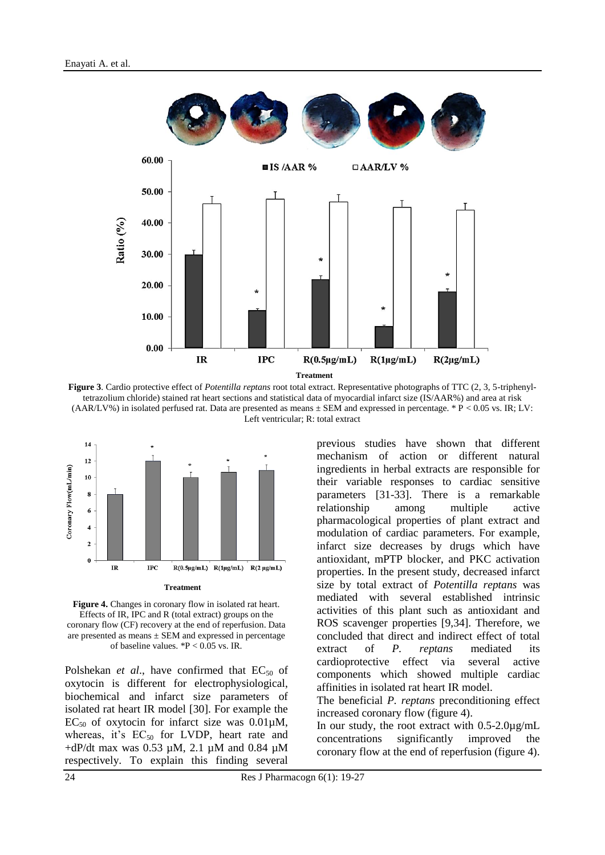

**Figure 3**. Cardio protective effect of *Potentilla reptans* root total extract. Representative photographs of TTC (2, 3, 5-triphenyltetrazolium chloride) stained rat heart sections and statistical data of myocardial infarct size (IS/AAR%) and area at risk (AAR/LV%) in isolated perfused rat. Data are presented as means  $\pm$  SEM and expressed in percentage. \* P < 0.05 vs. IR; LV: Left ventricular; R: total extract



Figure 4. Changes in coronary flow in isolated rat heart. Effects of IR, IPC and R (total extract) groups on the coronary flow (CF) recovery at the end of reperfusion. Data are presented as means  $\pm$  SEM and expressed in percentage of baseline values. \*P < 0.05 vs. IR.

Polshekan *et al.*, have confirmed that EC<sub>50</sub> of oxytocin is different for electrophysiological, biochemical and infarct size parameters of isolated rat heart IR model [30]. For example the  $EC_{50}$  of oxytocin for infarct size was  $0.01 \mu M$ , whereas, it's  $EC_{50}$  for LVDP, heart rate and  $+dP/dt$  max was 0.53  $\mu$ M, 2.1  $\mu$ M and 0.84  $\mu$ M respectively. To explain this finding several

previous studies have shown that different mechanism of action or different natural ingredients in herbal extracts are responsible for their variable responses to cardiac sensitive parameters [31-33]. There is a remarkable relationship among multiple active pharmacological properties of plant extract and modulation of cardiac parameters. For example, infarct size decreases by drugs which have antioxidant, mPTP blocker, and PKC activation properties. In the present study, decreased infarct size by total extract of *Potentilla reptans* was mediated with several established intrinsic activities of this plant such as antioxidant and ROS scavenger properties [9,34]. Therefore, we concluded that direct and indirect effect of total extract of *P. reptans* mediated its cardioprotective effect via several active components which showed multiple cardiac affinities in isolated rat heart IR model.

The beneficial *P. reptans* preconditioning effect increased coronary flow (figure 4).

In our study, the root extract with 0.5-2.0µg/mL concentrations significantly improved the coronary flow at the end of reperfusion (figure 4).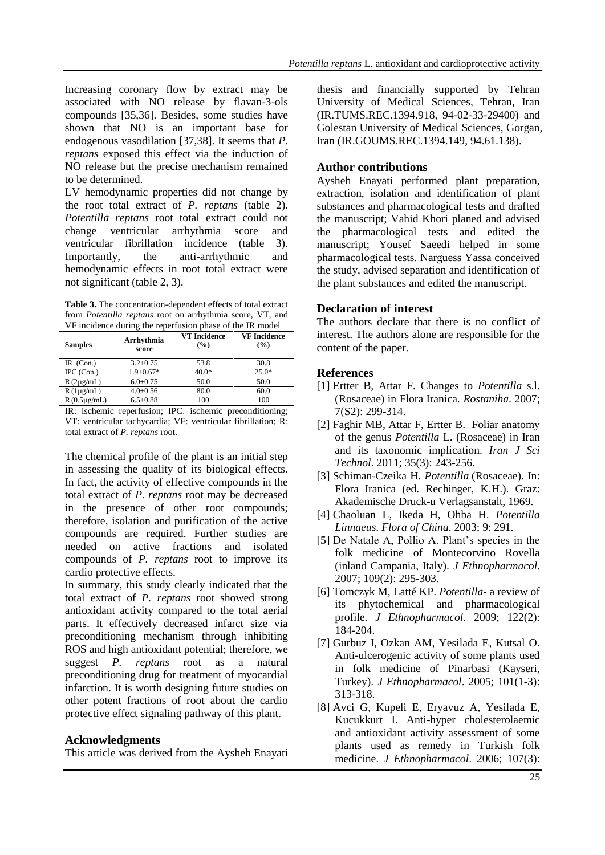Increasing coronary flow by extract may be associated with NO release by flavan-3-ols compounds [35,36]. Besides, some studies have shown that NO is an important base for endogenous vasodilation [37,38]. It seems that *P. reptans* exposed this effect via the induction of NO release but the precise mechanism remained to be determined.

LV hemodynamic properties did not change by the root total extract of *P. reptans* (table 2). *Potentilla reptans* root total extract could not change ventricular arrhythmia score and ventricular fibrillation incidence (table 3). Importantly, the anti-arrhythmic and hemodynamic effects in root total extract were not significant (table 2, 3).

**Table 3.** The concentration-dependent effects of total extract from *Potentilla reptans* root on arrhythmia score, VT, and VF incidence during the reperfusion phase of the IR model

| <b>Samples</b>   | Arrhythmia<br>score | <b>VT</b> Incidence<br>$\frac{9}{6}$ | <b>VF</b> Incidence<br>$($ %) |
|------------------|---------------------|--------------------------------------|-------------------------------|
| IR $(Con.)$      | $3.2 + 0.75$        | 53.8                                 | 30.8                          |
| IPC $(Con.)$     | $1.9 \pm 0.67*$     | $40.0*$                              | $25.0*$                       |
| $R(2\mu g/mL)$   | $6.0 \pm 0.75$      | 50.0                                 | 50.0                          |
| $R(1\mu g/mL)$   | $4.0 \pm 0.56$      | 80.0                                 | 60.0                          |
| $R(0.5\mu g/mL)$ | $6.5 \pm 0.88$      | 100                                  | 100                           |

IR: ischemic reperfusion; IPC: ischemic preconditioning; VT: ventricular tachycardia; VF: ventricular fibrillation; R: total extract of *P. reptans* root.

The chemical profile of the plant is an initial step in assessing the quality of its biological effects. In fact, the activity of effective compounds in the total extract of *P. reptans* root may be decreased in the presence of other root compounds; therefore, isolation and purification of the active compounds are required. Further studies are needed on active fractions and isolated compounds of *P. reptans* root to improve its cardio protective effects.

In summary, this study clearly indicated that the total extract of *P. reptans* root showed strong antioxidant activity compared to the total aerial parts. It effectively decreased infarct size via preconditioning mechanism through inhibiting ROS and high antioxidant potential; therefore, we suggest *P. reptans* root as a natural preconditioning drug for treatment of myocardial infarction. It is worth designing future studies on other potent fractions of root about the cardio protective effect signaling pathway of this plant.

#### **Acknowledgments**

This article was derived from the Aysheh Enayati

thesis and financially supported by Tehran University of Medical Sciences, Tehran, Iran (IR.TUMS.REC.1394.918, 94-02-33-29400) and Golestan University of Medical Sciences, Gorgan, Iran (IR.GOUMS.REC.1394.149, 94.61.138).

### **Author contributions**

Aysheh Enayati performed plant preparation, extraction, isolation and identification of plant substances and pharmacological tests and drafted the manuscript; Vahid Khori planed and advised the pharmacological tests and edited the manuscript; Yousef Saeedi helped in some pharmacological tests. Narguess Yassa conceived the study, advised separation and identification of the plant substances and edited the manuscript.

### **Declaration of interest**

The authors declare that there is no conflict of interest. The authors alone are responsible for the content of the paper.

#### **References**

- [1] Ertter B, Attar F. Changes to *Potentilla* s.l. (Rosaceae) in Flora Iranica. *Rostaniha*. 2007; 7(S2): 299-314.
- [2] Faghir MB, Attar F, Ertter B. Foliar anatomy of the genus *Potentilla* L. (Rosaceae) in Iran and its taxonomic implication. *Iran J Sci Technol*. 2011; 35(3): 243-256.
- [3] Schiman-Czeika H. *Potentilla* (Rosaceae). In: Flora Iranica (ed. Rechinger, K.H.). Graz: Akademische Druck-u Verlagsanstalt, 1969.
- [4] Chaoluan L, Ikeda H, Ohba H. *Potentilla Linnaeus*. *Flora of China*. 2003; 9: 291.
- [5] De Natale A, Pollio A. Plant's species in the folk medicine of Montecorvino Rovella (inland Campania, Italy). *J Ethnopharmacol*. 2007; 109(2): 295-303.
- [6] Tomczyk M, Latté KP. *Potentilla* a review of its phytochemical and pharmacological profile. *J Ethnopharmacol.* 2009; 122(2): 184-204.
- [7] Gurbuz I, Ozkan AM, Yesilada E, Kutsal O. Anti-ulcerogenic activity of some plants used in folk medicine of Pinarbasi (Kayseri, Turkey). *J Ethnopharmacol*. 2005; 101(1-3): 313-318.
- [8] Avci G, Kupeli E, Eryavuz A, Yesilada E, Kucukkurt I. Anti-hyper cholesterolaemic and antioxidant activity assessment of some plants used as remedy in Turkish folk medicine. *J Ethnopharmacol*. 2006; 107(3):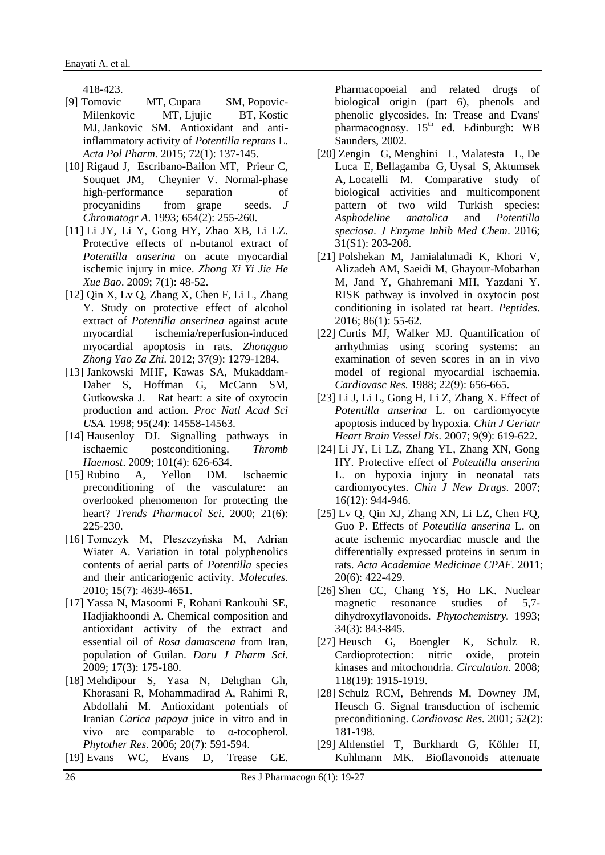418-423.

- [9] [Tomovic MT,](https://www.ncbi.nlm.nih.gov/pubmed/?term=Tomovic%20MT%5BAuthor%5D&cauthor=true&cauthor_uid=25850209) [Cupara SM,](https://www.ncbi.nlm.nih.gov/pubmed/?term=Cupara%20SM%5BAuthor%5D&cauthor=true&cauthor_uid=25850209) [Popovic-](https://www.ncbi.nlm.nih.gov/pubmed/?term=Popovic-Milenkovic%20MT%5BAuthor%5D&cauthor=true&cauthor_uid=25850209)[Milenkovic MT,](https://www.ncbi.nlm.nih.gov/pubmed/?term=Popovic-Milenkovic%20MT%5BAuthor%5D&cauthor=true&cauthor_uid=25850209) [Ljujic BT,](https://www.ncbi.nlm.nih.gov/pubmed/?term=Ljujic%20BT%5BAuthor%5D&cauthor=true&cauthor_uid=25850209) Kostic [MJ,](https://www.ncbi.nlm.nih.gov/pubmed/?term=Kostic%20MJ%5BAuthor%5D&cauthor=true&cauthor_uid=25850209) [Jankovic SM.](https://www.ncbi.nlm.nih.gov/pubmed/?term=Jankovic%20SM%5BAuthor%5D&cauthor=true&cauthor_uid=25850209) Antioxidant and antiinflammatory activity of *Potentilla reptans* L. *[Acta Pol Pharm.](https://www.ncbi.nlm.nih.gov/pubmed/25850209)* 2015; 72(1): 137-145.
- [10] Rigaud J, Escribano-Bailon MT, Prieur C, Souquet JM, Cheynier V. Normal-phase high-performance separation of procyanidins from grape seeds. *J Chromatogr A*. 1993; 654(2): 255-260.
- [11] Li JY, Li Y, Gong HY, Zhao XB, Li LZ. Protective effects of n-butanol extract of *Potentilla anserina* on acute myocardial ischemic injury in mice. *Zhong Xi Yi Jie He Xue Bao*. 2009; 7(1): 48-52.
- [12] Qin X, Lv Q, Zhang X, Chen F, Li L, Zhang Y. Study on protective effect of alcohol extract of *Potentilla anserinea* against acute myocardial ischemia/reperfusion-induced myocardial apoptosis in rats. *[Zhongguo](https://www.ncbi.nlm.nih.gov/pubmed/22803376)  [Zhong Yao Za Zhi.](https://www.ncbi.nlm.nih.gov/pubmed/22803376)* 2012; 37(9): 1279-1284.
- [13] Jankowski MHF, Kawas SA, Mukaddam-Daher S, Hoffman G, McCann SM, Gutkowska J. Rat heart: a site of oxytocin production and action. *Proc Natl Acad Sci USA.* 1998; 95(24): 14558-14563.
- [14] Hausenloy DJ. Signalling pathways in ischaemic postconditioning. *Thromb Haemost*. 2009; 101(4): 626-634.
- [15] Rubino A, Yellon DM. Ischaemic preconditioning of the vasculature: an overlooked phenomenon for protecting the heart? *Trends Pharmacol Sci*. 2000; 21(6): 225-230.
- [16] Tomczyk M, Pleszczyńska M, Adrian Wiater A. Variation in total polyphenolics contents of aerial parts of *Potentilla* species and their anticariogenic activity. *Molecules*. 2010; 15(7): 4639-4651.
- [17] Yassa N, Masoomi F, Rohani Rankouhi SE, Hadjiakhoondi A. Chemical composition and antioxidant activity of the extract and essential oil of *Rosa damascena* from Iran, population of Guilan. *Daru J Pharm Sci*. 2009; 17(3): 175-180.
- [18] Mehdipour S, Yasa N, Dehghan Gh, Khorasani R, Mohammadirad A, Rahimi R, Abdollahi M. Antioxidant potentials of Iranian *Carica papaya* juice in vitro and in vivo are comparable to α-tocopherol. *Phytother Res*. 2006; 20(7): 591-594.
- [19] Evans WC, Evans D, Trease GE.

Pharmacopoeial and related drugs of biological origin (part 6), phenols and phenolic glycosides. In: Trease and Evans' pharmacognosy.  $15<sup>th</sup>$  ed. Edinburgh: WB Saunders, 2002.

- [20] [Zengin G,](https://www.ncbi.nlm.nih.gov/pubmed/?term=Zengin%20G%5BAuthor%5D&cauthor=true&cauthor_uid=27143199) [Menghini L,](https://www.ncbi.nlm.nih.gov/pubmed/?term=Menghini%20L%5BAuthor%5D&cauthor=true&cauthor_uid=27143199) [Malatesta L,](https://www.ncbi.nlm.nih.gov/pubmed/?term=Malatesta%20L%5BAuthor%5D&cauthor=true&cauthor_uid=27143199) [De](https://www.ncbi.nlm.nih.gov/pubmed/?term=De%20Luca%20E%5BAuthor%5D&cauthor=true&cauthor_uid=27143199)  [Luca E,](https://www.ncbi.nlm.nih.gov/pubmed/?term=De%20Luca%20E%5BAuthor%5D&cauthor=true&cauthor_uid=27143199) [Bellagamba G,](https://www.ncbi.nlm.nih.gov/pubmed/?term=Bellagamba%20G%5BAuthor%5D&cauthor=true&cauthor_uid=27143199) [Uysal S,](https://www.ncbi.nlm.nih.gov/pubmed/?term=Uysal%20S%5BAuthor%5D&cauthor=true&cauthor_uid=27143199) [Aktumsek](https://www.ncbi.nlm.nih.gov/pubmed/?term=Aktumsek%20A%5BAuthor%5D&cauthor=true&cauthor_uid=27143199)  [A,](https://www.ncbi.nlm.nih.gov/pubmed/?term=Aktumsek%20A%5BAuthor%5D&cauthor=true&cauthor_uid=27143199) [Locatelli M.](https://www.ncbi.nlm.nih.gov/pubmed/?term=Locatelli%20M%5BAuthor%5D&cauthor=true&cauthor_uid=27143199) Comparative study of biological activities and multicomponent pattern of two wild Turkish species: *Asphodeline anatolica* and *Potentilla speciosa*. *J Enzyme Inhib Med Chem*. 2016; 31(S1): 203-208.
- [21] Polshekan M, Jamialahmadi K, Khori V, Alizadeh AM, Saeidi M, Ghayour-Mobarhan M, Jand Y, Ghahremani MH, Yazdani Y. RISK pathway is involved in oxytocin post conditioning in isolated rat heart. *Peptides*. 2016; 86(1): 55-62.
- [22] Curtis MJ, Walker MJ. Quantification of arrhythmias using scoring systems: an examination of seven scores in an in vivo model of regional myocardial ischaemia. *[Cardiovasc Res.](https://www.ncbi.nlm.nih.gov/pubmed/3242835)* 1988; 22(9): 656-665.
- [23] Li J, Li L, Gong H, Li Z, Zhang X. Effect of *Potentilla anserina* L. on cardiomyocyte apoptosis induced by hypoxia. *Chin J Geriatr Heart Brain Vessel Dis.* 2007; 9(9): 619-622.
- [24] Li JY, Li LZ, Zhang YL, Zhang XN, Gong HY. Protective effect of *Poteutilla anserina* L. on hypoxia injury in neonatal rats cardiomyocytes. *Chin J New Drugs*. 2007; 16(12): 944-946.
- [25] Lv Q, Qin XJ, Zhang XN, Li LZ, Chen FQ, Guo P. Effects of *Poteutilla anserina* L. on acute ischemic myocardiac muscle and the differentially expressed proteins in serum in rats. *Acta Academiae Medicinae CPAF.* 2011; 20(6): 422-429.
- [26] Shen CC, Chang YS, Ho LK. Nuclear magnetic resonance studies of 5,7 dihydroxyflavonoids. *Phytochemistry.* 1993; 34(3): 843-845.
- [27] Heusch G, [Boengler K,](https://www.ncbi.nlm.nih.gov/pubmed/?term=Boengler%20K%5BAuthor%5D&cauthor=true&cauthor_uid=18981312) Schulz R. Cardioprotection: nitric oxide, protein kinases and mitochondria. *Circulation.* 2008; 118(19): 1915-1919.
- [28] Schulz RCM, Behrends M, Downey JM, Heusch G. Signal transduction of ischemic preconditioning. *Cardiovasc Res.* 2001; 52(2): 181-198.
- [29] Ahlenstiel T, Burkhardt G, Köhler H, Kuhlmann MK. Bioflavonoids attenuate